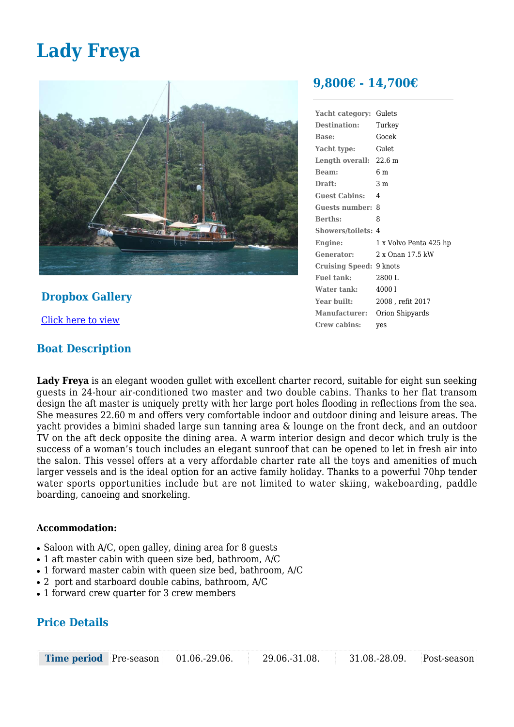# **Lady Freya**



# **Dropbox Gallery**

[Click here to view](https://www.dropbox.com/sh/jsc50qgujlj4npy/AAA5mlSRFYCKAvNtFhQ9vy3Qa?dl=0)

## **Boat Description**

# **9,800€ - 14,700€**

| Yacht category:           | Gulets                 |
|---------------------------|------------------------|
| <b>Destination:</b>       | Turkey                 |
| <b>Base:</b>              | Gocek                  |
| Yacht type:               | Gulet                  |
| Length overall: 22.6 m    |                        |
| Beam:                     | 6 m                    |
| Draft:                    | 3 m                    |
| <b>Guest Cabins:</b>      | 4                      |
| Guests number:            | 8                      |
| <b>Berths:</b>            | 8                      |
| <b>Showers/toilets: 4</b> |                        |
| Engine:                   | 1 x Volvo Penta 425 hp |
| Generator:                | 2 x Onan 17.5 kW       |
| <b>Cruising Speed:</b>    | 9 knots                |
| <b>Fuel tank:</b>         | 2800 L                 |
| Water tank:               | 40001                  |
| Year built:               | 2008 , refit 2017      |
| <b>Manufacturer:</b>      | Orion Shipyards        |
| Crew cabins:              | ves                    |
|                           |                        |

**Lady Freya** is an elegant wooden gullet with excellent charter record, suitable for eight sun seeking guests in 24-hour air-conditioned two master and two double cabins. Thanks to her flat transom design the aft master is uniquely pretty with her large port holes flooding in reflections from the sea. She measures 22.60 m and offers very comfortable indoor and outdoor dining and leisure areas. The yacht provides a bimini shaded large sun tanning area & lounge on the front deck, and an outdoor TV on the aft deck opposite the dining area. A warm interior design and decor which truly is the success of a woman's touch includes an elegant sunroof that can be opened to let in fresh air into the salon. This vessel offers at a very affordable charter rate all the toys and amenities of much larger vessels and is the ideal option for an active family holiday. Thanks to a powerful 70hp tender water sports opportunities include but are not limited to water skiing, wakeboarding, paddle boarding, canoeing and snorkeling.

### **Accommodation:**

- $\bullet$  Saloon with A/C, open galley, dining area for 8 quests
- 1 aft master cabin with queen size bed, bathroom, A/C
- 1 forward master cabin with queen size bed, bathroom, A/C
- $\bullet$  2 port and starboard double cabins, bathroom, A/C
- 1 forward crew quarter for 3 crew members

# **Price Details**